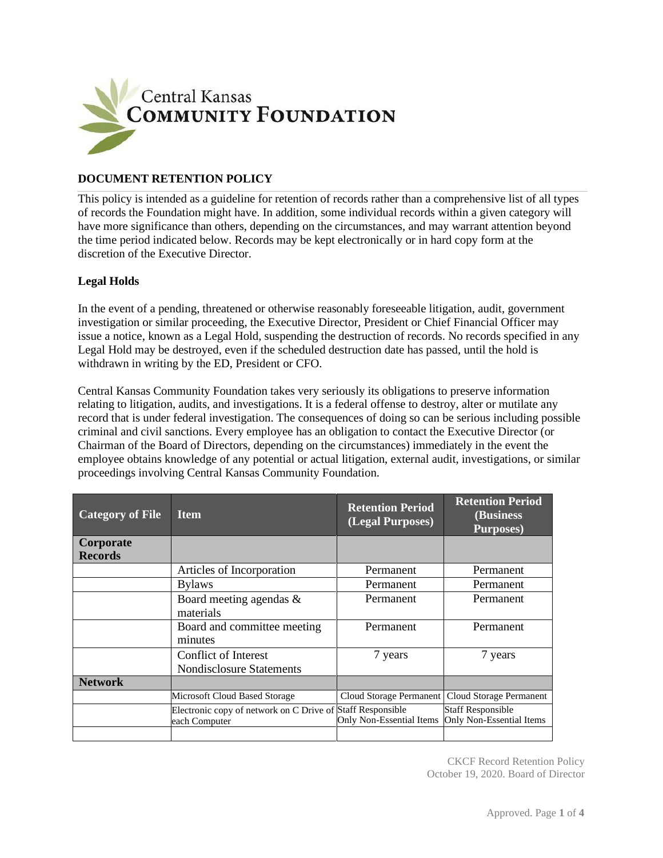

## **DOCUMENT RETENTION POLICY**

This policy is intended as a guideline for retention of records rather than a comprehensive list of all types of records the Foundation might have. In addition, some individual records within a given category will have more significance than others, depending on the circumstances, and may warrant attention beyond the time period indicated below. Records may be kept electronically or in hard copy form at the discretion of the Executive Director.

## **Legal Holds**

In the event of a pending, threatened or otherwise reasonably foreseeable litigation, audit, government investigation or similar proceeding, the Executive Director, President or Chief Financial Officer may issue a notice, known as a Legal Hold, suspending the destruction of records. No records specified in any Legal Hold may be destroyed, even if the scheduled destruction date has passed, until the hold is withdrawn in writing by the ED, President or CFO.

Central Kansas Community Foundation takes very seriously its obligations to preserve information relating to litigation, audits, and investigations. It is a federal offense to destroy, alter or mutilate any record that is under federal investigation. The consequences of doing so can be serious including possible criminal and civil sanctions. Every employee has an obligation to contact the Executive Director (or Chairman of the Board of Directors, depending on the circumstances) immediately in the event the employee obtains knowledge of any potential or actual litigation, external audit, investigations, or similar proceedings involving Central Kansas Community Foundation.

| <b>Category of File</b>     | <b>Item</b>                                                                 | <b>Retention Period</b><br>(Legal Purposes) | <b>Retention Period</b><br>(Business<br><b>Purposes</b> ) |
|-----------------------------|-----------------------------------------------------------------------------|---------------------------------------------|-----------------------------------------------------------|
| Corporate<br><b>Records</b> |                                                                             |                                             |                                                           |
|                             | Articles of Incorporation                                                   | Permanent                                   | Permanent                                                 |
|                             | <b>Bylaws</b>                                                               | Permanent                                   | Permanent                                                 |
|                             | Board meeting agendas $\&$<br>materials                                     | Permanent                                   | Permanent                                                 |
|                             | Board and committee meeting<br>minutes                                      | Permanent                                   | Permanent                                                 |
|                             | Conflict of Interest<br><b>Nondisclosure Statements</b>                     | 7 years                                     | 7 years                                                   |
| <b>Network</b>              |                                                                             |                                             |                                                           |
|                             | Microsoft Cloud Based Storage                                               | Cloud Storage Permanent                     | Cloud Storage Permanent                                   |
|                             | Electronic copy of network on C Drive of Staff Responsible<br>each Computer | Only Non-Essential Items                    | Staff Responsible<br><b>Only Non-Essential Items</b>      |
|                             |                                                                             |                                             |                                                           |

CKCF Record Retention Policy October 19, 2020. Board of Director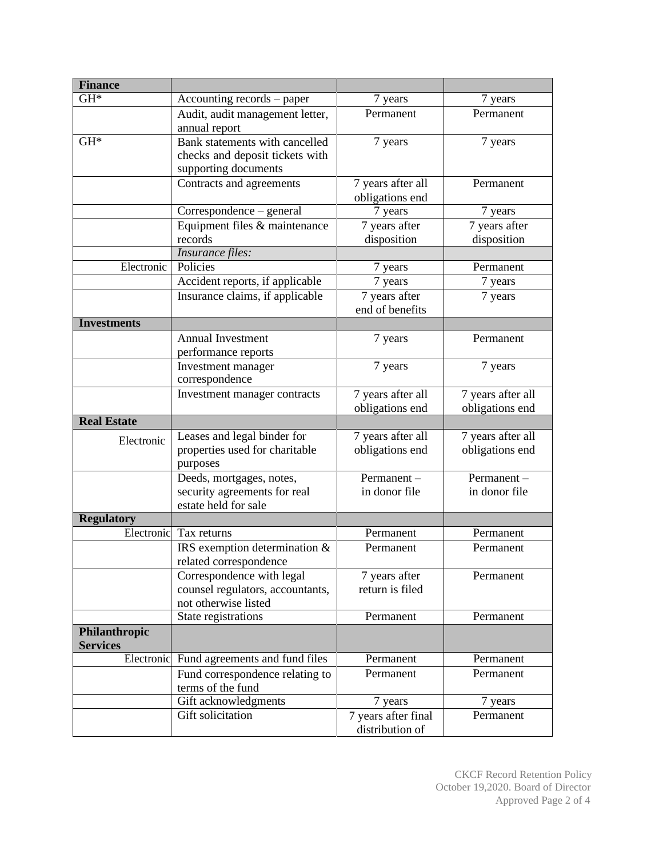| <b>Finance</b>     |                                                          |                     |                   |
|--------------------|----------------------------------------------------------|---------------------|-------------------|
| $GH*$              | Accounting records – paper                               | 7 years             | 7 years           |
|                    | Audit, audit management letter,                          | Permanent           | Permanent         |
|                    | annual report                                            |                     |                   |
| $GH*$              | Bank statements with cancelled                           | 7 years             | 7 years           |
|                    | checks and deposit tickets with                          |                     |                   |
|                    | supporting documents                                     |                     |                   |
|                    | Contracts and agreements                                 | 7 years after all   | Permanent         |
|                    |                                                          | obligations end     |                   |
|                    | Correspondence - general                                 | 7 years             | 7 years           |
|                    | Equipment files & maintenance                            | 7 years after       | 7 years after     |
|                    | records                                                  | disposition         | disposition       |
|                    | Insurance files:                                         |                     |                   |
| Electronic         | Policies                                                 | 7 years             | Permanent         |
|                    | Accident reports, if applicable                          | 7 years             | 7 years           |
|                    | Insurance claims, if applicable                          | 7 years after       | 7 years           |
|                    |                                                          | end of benefits     |                   |
| <b>Investments</b> |                                                          |                     |                   |
|                    | <b>Annual Investment</b>                                 | 7 years             | Permanent         |
|                    | performance reports                                      |                     |                   |
|                    | Investment manager                                       | 7 years             | 7 years           |
|                    | correspondence                                           |                     |                   |
|                    | Investment manager contracts                             | 7 years after all   | 7 years after all |
|                    |                                                          | obligations end     | obligations end   |
| <b>Real Estate</b> |                                                          |                     |                   |
| Electronic         | Leases and legal binder for                              | 7 years after all   | 7 years after all |
|                    | properties used for charitable                           | obligations end     | obligations end   |
|                    | purposes                                                 | Permanent-          | Permanent-        |
|                    | Deeds, mortgages, notes,<br>security agreements for real | in donor file       | in donor file     |
|                    | estate held for sale                                     |                     |                   |
| <b>Regulatory</b>  |                                                          |                     |                   |
| Electronic         | Tax returns                                              | Permanent           | Permanent         |
|                    | IRS exemption determination &                            | Permanent           | Permanent         |
|                    | related correspondence                                   |                     |                   |
|                    | Correspondence with legal                                | 7 years after       | Permanent         |
|                    | counsel regulators, accountants,                         | return is filed     |                   |
|                    | not otherwise listed                                     |                     |                   |
|                    | State registrations                                      | Permanent           | Permanent         |
| Philanthropic      |                                                          |                     |                   |
| <b>Services</b>    |                                                          |                     |                   |
| Electronic         | Fund agreements and fund files                           | Permanent           | Permanent         |
|                    | Fund correspondence relating to                          | Permanent           | Permanent         |
|                    | terms of the fund                                        |                     |                   |
|                    | Gift acknowledgments                                     | 7 years             | 7 years           |
|                    | Gift solicitation                                        | 7 years after final | Permanent         |
|                    |                                                          | distribution of     |                   |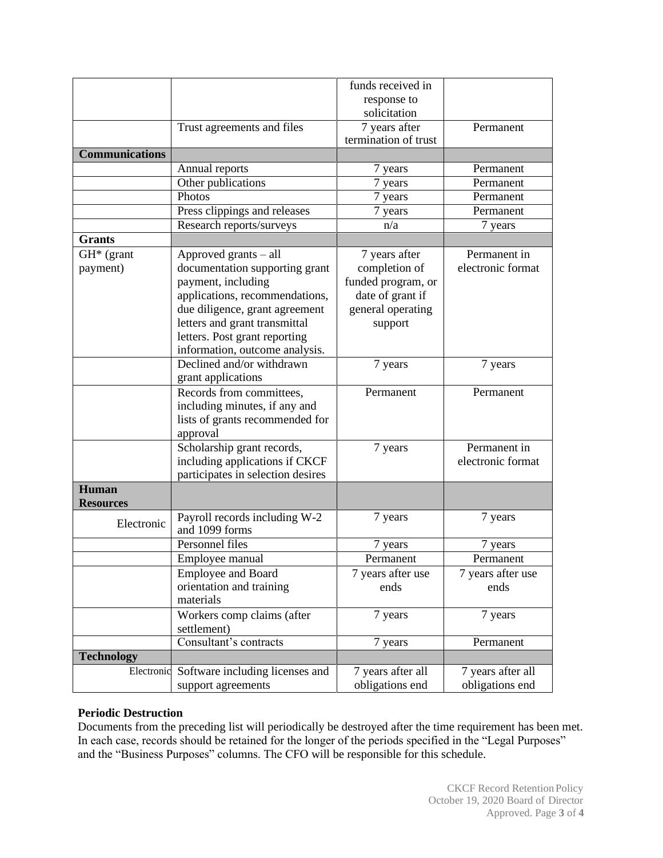|                       |                                                 | funds received in    |                   |
|-----------------------|-------------------------------------------------|----------------------|-------------------|
|                       |                                                 | response to          |                   |
|                       |                                                 | solicitation         |                   |
|                       | Trust agreements and files                      | 7 years after        | Permanent         |
|                       |                                                 | termination of trust |                   |
| <b>Communications</b> |                                                 |                      |                   |
|                       | Annual reports                                  | 7 years              | Permanent         |
|                       | Other publications                              | 7 years              | Permanent         |
|                       | Photos                                          | 7 years              | Permanent         |
|                       | Press clippings and releases                    | 7 years              | Permanent         |
|                       | Research reports/surveys                        | n/a                  | 7 years           |
| <b>Grants</b>         |                                                 |                      |                   |
| $GH^*$ (grant         | Approved grants – all                           | 7 years after        | Permanent in      |
| payment)              | documentation supporting grant                  | completion of        | electronic format |
|                       | payment, including                              | funded program, or   |                   |
|                       | applications, recommendations,                  | date of grant if     |                   |
|                       | due diligence, grant agreement                  | general operating    |                   |
|                       | letters and grant transmittal                   | support              |                   |
|                       | letters. Post grant reporting                   |                      |                   |
|                       | information, outcome analysis.                  |                      |                   |
|                       | Declined and/or withdrawn                       | 7 years              | 7 years           |
|                       | grant applications                              |                      |                   |
|                       | Records from committees,                        | Permanent            | Permanent         |
|                       | including minutes, if any and                   |                      |                   |
|                       | lists of grants recommended for                 |                      |                   |
|                       | approval                                        |                      |                   |
|                       | Scholarship grant records,                      | 7 years              | Permanent in      |
|                       | including applications if CKCF                  |                      | electronic format |
|                       | participates in selection desires               |                      |                   |
| Human                 |                                                 |                      |                   |
| <b>Resources</b>      |                                                 |                      |                   |
| Electronic            | Payroll records including W-2<br>and 1099 forms | 7 years              | 7 years           |
|                       | Personnel files                                 | 7 years              | 7 years           |
|                       | Employee manual                                 | Permanent            | Permanent         |
|                       | Employee and Board                              | 7 years after use    | 7 years after use |
|                       | orientation and training                        | ends                 | ends              |
|                       | materials                                       |                      |                   |
|                       | Workers comp claims (after                      | 7 years              | 7 years           |
|                       | settlement)                                     |                      |                   |
|                       | Consultant's contracts                          | 7 years              | Permanent         |
| <b>Technology</b>     |                                                 |                      |                   |
| Electronic            | Software including licenses and                 | 7 years after all    | 7 years after all |
|                       | support agreements                              | obligations end      | obligations end   |

## **Periodic Destruction**

Documents from the preceding list will periodically be destroyed after the time requirement has been met. In each case, records should be retained for the longer of the periods specified in the "Legal Purposes" and the "Business Purposes" columns. The CFO will be responsible for this schedule.